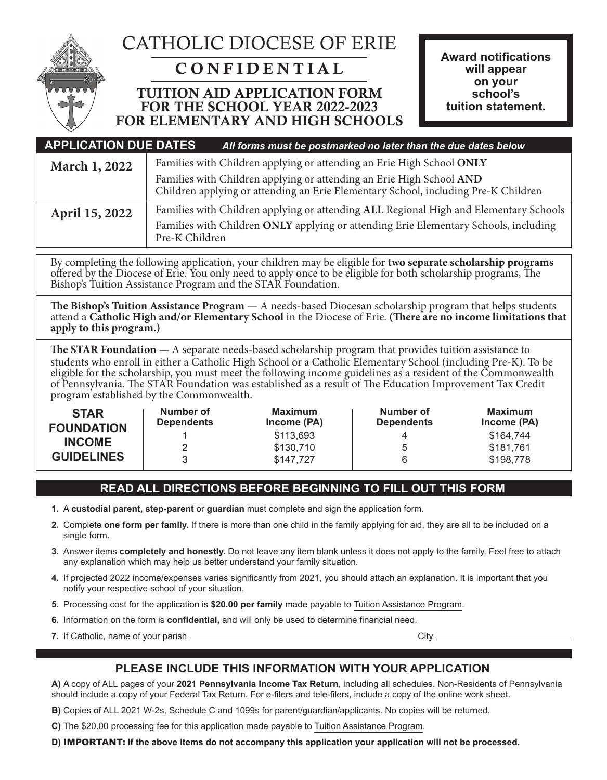

# CATHOLIC DIOCESE OF ERIE

## CONFIDENTIAL

### TUITION AID APPLICATION FORM FOR THE SCHOOL YEAR 2022-2023 FOR ELEMENTARY AND HIGH SCHOOLS

| <b>APPLICATION DUE DATES</b>                                                           |                | All forms must be postmarked no later than the due dates below                                                                                                                |
|----------------------------------------------------------------------------------------|----------------|-------------------------------------------------------------------------------------------------------------------------------------------------------------------------------|
| Families with Children applying or attending an Erie High School ONLY<br>March 1, 2022 |                |                                                                                                                                                                               |
|                                                                                        |                | Families with Children applying or attending an Erie High School AND<br>Children applying or attending an Erie Elementary School, including Pre-K Children                    |
| April 15, 2022                                                                         | Pre-K Children | Families with Children applying or attending ALL Regional High and Elementary Schools<br>Families with Children ONLY applying or attending Erie Elementary Schools, including |

By completing the following application, your children may be eligible for **two separate scholarship programs** offered by the Diocese of Erie. You only need to apply once to be eligible for both scholarship programs, The Bishop's Tuition Assistance Program and the STAR Foundation.

The Bishop's Tuition Assistance Program — A needs-based Diocesan scholarship program that helps students<br>attend a Catholic High and/or Elementary School in the Diocese of Erie. (There are no income limitations that **apply to this program.)**

**The STAR Foundation —** A separate needs-based scholarship program that provides tuition assistance to students who enroll in either a Catholic High School or a Catholic Elementary School (including Pre-K). To be eligible for the scholarship, you must meet the following income guidelines as a resident of the Commonwealth of Pennsylvania. The STAR Foundation was established as a result of The Education Improvement Tax Credit program established by the Commonwealth.

| <b>STAR</b><br><b>FOUNDATION</b> | Number of<br><b>Dependents</b> | Maximum<br>Income (PA) | Number of<br><b>Dependents</b> | Maximum<br>Income (PA) |
|----------------------------------|--------------------------------|------------------------|--------------------------------|------------------------|
| <b>INCOME</b>                    | 2                              | \$113,693              |                                | \$164,744              |
| <b>GUIDELINES</b>                | <u>_</u><br>3                  | \$130,710<br>\$147,727 |                                | \$181,761<br>\$198,778 |

### **READ ALL DIRECTIONS BEFORE BEGINNING TO FILL OUT THIS FORM**

- **1.** A **custodial parent, step-parent** or **guardian** must complete and sign the application form.
- **2.** Complete **one form per family.** If there is more than one child in the family applying for aid, they are all to be included on a single form.
- **3.** Answer items **completely and honestly.** Do not leave any item blank unless it does not apply to the family. Feel free to attach any explanation which may help us better understand your family situation.
- **4.** If projected 2022 income/expenses varies significantly from 2021, you should attach an explanation. It is important that you notify your respective school of your situation.
- **5.** Processing cost for the application is **\$20.00 per family** made payable to Tuition Assistance Program.
- **6.** Information on the form is **confidential,** and will only be used to determine financial need.
- **7.** If Catholic, name of your parish <u>Community City City City City</u>

### **PLEASE INCLUDE THIS INFORMATION WITH YOUR APPLICATION**

**A)** A copy of ALL pages of your **2021 Pennsylvania Income Tax Return**, including all schedules. Non-Residents of Pennsylvania should include a copy of your Federal Tax Return. For e-filers and tele-filers, include a copy of the online work sheet.

**B)** Copies of ALL 2021 W-2s, Schedule C and 1099s for parent/guardian/applicants. No copies will be returned.

**C)** The \$20.00 processing fee for this application made payable to Tuition Assistance Program.

**D)** IMPORTANT: **If the above items do not accompany this application your application will not be processed.**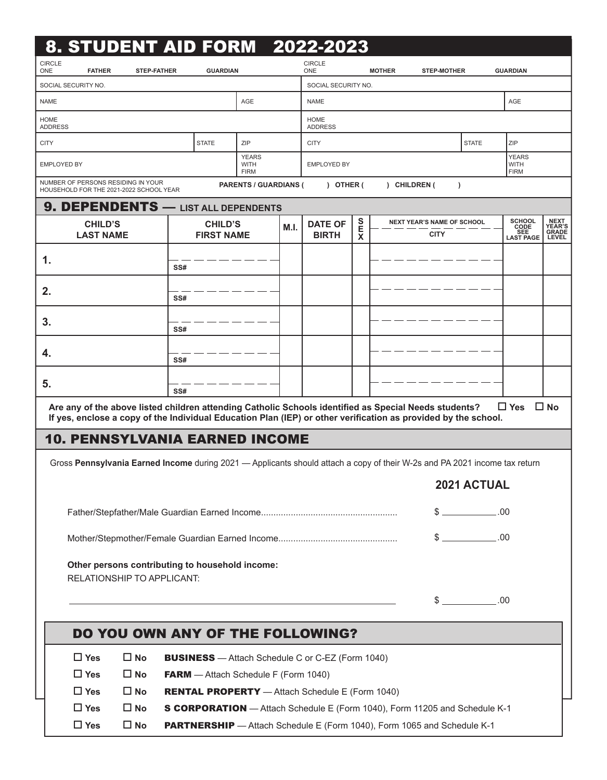| 8. STUDENT AID FORM 2022-2023                                                                                                                                                                                           |                                                                                |                                            |      |                                |             |               |                                                  |                   |                                                  |                                                       |
|-------------------------------------------------------------------------------------------------------------------------------------------------------------------------------------------------------------------------|--------------------------------------------------------------------------------|--------------------------------------------|------|--------------------------------|-------------|---------------|--------------------------------------------------|-------------------|--------------------------------------------------|-------------------------------------------------------|
| <b>CIRCLE</b><br><b>ONE</b><br><b>FATHER</b><br><b>STEP-FATHER</b>                                                                                                                                                      | <b>GUARDIAN</b>                                                                |                                            |      | <b>CIRCLE</b><br>ONE           |             | <b>MOTHER</b> | <b>STEP-MOTHER</b>                               |                   | <b>GUARDIAN</b>                                  |                                                       |
| SOCIAL SECURITY NO.                                                                                                                                                                                                     |                                                                                |                                            |      | SOCIAL SECURITY NO.            |             |               |                                                  |                   |                                                  |                                                       |
| <b>NAME</b>                                                                                                                                                                                                             |                                                                                | AGE                                        |      | <b>NAME</b>                    |             |               |                                                  |                   | AGE                                              |                                                       |
| <b>HOME</b><br><b>ADDRESS</b>                                                                                                                                                                                           |                                                                                |                                            |      | <b>HOME</b><br><b>ADDRESS</b>  |             |               |                                                  |                   |                                                  |                                                       |
| <b>CITY</b>                                                                                                                                                                                                             | <b>STATE</b>                                                                   | ZIP                                        |      | <b>CITY</b>                    |             |               |                                                  | <b>STATE</b>      | ZIP                                              |                                                       |
| EMPLOYED BY                                                                                                                                                                                                             |                                                                                | <b>YEARS</b><br><b>WITH</b><br><b>FIRM</b> |      | <b>EMPLOYED BY</b>             |             |               |                                                  |                   | <b>YEARS</b><br><b>WITH</b><br><b>FIRM</b>       |                                                       |
| NUMBER OF PERSONS RESIDING IN YOUR<br>HOUSEHOLD FOR THE 2021-2022 SCHOOL YEAR                                                                                                                                           |                                                                                | <b>PARENTS / GUARDIANS (</b>               |      | $)$ OTHER (                    |             | ) CHILDREN (  | $\lambda$                                        |                   |                                                  |                                                       |
| 9. DEPENDENTS - LIST ALL DEPENDENTS                                                                                                                                                                                     |                                                                                |                                            |      |                                |             |               |                                                  |                   |                                                  |                                                       |
| <b>CHILD'S</b><br><b>LAST NAME</b>                                                                                                                                                                                      | <b>CHILD'S</b><br><b>FIRST NAME</b>                                            |                                            | M.I. | <b>DATE OF</b><br><b>BIRTH</b> | S<br>Е<br>X |               | <b>NEXT YEAR'S NAME OF SCHOOL</b><br><b>CITY</b> |                   | <b>SCHOOL</b><br>CODE<br>SEE<br><b>LAST PAGE</b> | <b>NEXT</b><br><b>YEAR'S</b><br>GRADE<br><b>LEVEL</b> |
| 1.                                                                                                                                                                                                                      | SS#                                                                            |                                            |      |                                |             |               |                                                  |                   |                                                  |                                                       |
| 2.                                                                                                                                                                                                                      | SS#                                                                            |                                            |      |                                |             |               |                                                  |                   |                                                  |                                                       |
| 3.                                                                                                                                                                                                                      | SS#                                                                            |                                            |      |                                |             |               |                                                  |                   |                                                  |                                                       |
| 4.                                                                                                                                                                                                                      | SS#                                                                            |                                            |      |                                |             |               |                                                  |                   |                                                  |                                                       |
| 5.                                                                                                                                                                                                                      | SS#                                                                            |                                            |      |                                |             |               |                                                  |                   |                                                  |                                                       |
| Are any of the above listed children attending Catholic Schools identified as Special Needs students?<br>If yes, enclose a copy of the Individual Education Plan (IEP) or other verification as provided by the school. |                                                                                |                                            |      |                                |             |               |                                                  |                   | $\Box$ Yes                                       | $\square$ No                                          |
| <b>10. PENNSYLVANIA EARNED INCOME</b>                                                                                                                                                                                   |                                                                                |                                            |      |                                |             |               |                                                  |                   |                                                  |                                                       |
| Gross Pennsylvania Earned Income during 2021 - Applicants should attach a copy of their W-2s and PA 2021 income tax return                                                                                              |                                                                                |                                            |      |                                |             |               |                                                  |                   |                                                  |                                                       |
|                                                                                                                                                                                                                         |                                                                                |                                            |      |                                |             |               |                                                  | 2021 ACTUAL       |                                                  |                                                       |
|                                                                                                                                                                                                                         |                                                                                |                                            |      |                                |             |               |                                                  | $$$ .00           |                                                  |                                                       |
|                                                                                                                                                                                                                         |                                                                                |                                            |      |                                |             |               |                                                  | $\frac{1}{2}$     | .00                                              |                                                       |
| Other persons contributing to household income:<br>RELATIONSHIP TO APPLICANT:                                                                                                                                           |                                                                                |                                            |      |                                |             |               |                                                  |                   |                                                  |                                                       |
|                                                                                                                                                                                                                         |                                                                                |                                            |      |                                |             |               |                                                  | $\frac{1}{2}$ .00 |                                                  |                                                       |
| DO YOU OWN ANY OF THE FOLLOWING?                                                                                                                                                                                        |                                                                                |                                            |      |                                |             |               |                                                  |                   |                                                  |                                                       |
| $\Box$ Yes<br>$\square$ No<br><b>BUSINESS</b> - Attach Schedule C or C-EZ (Form 1040)                                                                                                                                   |                                                                                |                                            |      |                                |             |               |                                                  |                   |                                                  |                                                       |
| $\Box$ Yes<br>$\square$ No                                                                                                                                                                                              | <b>FARM</b> - Attach Schedule F (Form 1040)                                    |                                            |      |                                |             |               |                                                  |                   |                                                  |                                                       |
| $\square$ No<br>$\Box$ Yes                                                                                                                                                                                              | <b>RENTAL PROPERTY</b> - Attach Schedule E (Form 1040)                         |                                            |      |                                |             |               |                                                  |                   |                                                  |                                                       |
| $\Box$ Yes<br>$\square$ No                                                                                                                                                                                              | S CORPORATION - Attach Schedule E (Form 1040), Form 11205 and Schedule K-1     |                                            |      |                                |             |               |                                                  |                   |                                                  |                                                       |
| $\Box$ Yes<br>$\square$ No                                                                                                                                                                                              | <b>PARTNERSHIP</b> - Attach Schedule E (Form 1040), Form 1065 and Schedule K-1 |                                            |      |                                |             |               |                                                  |                   |                                                  |                                                       |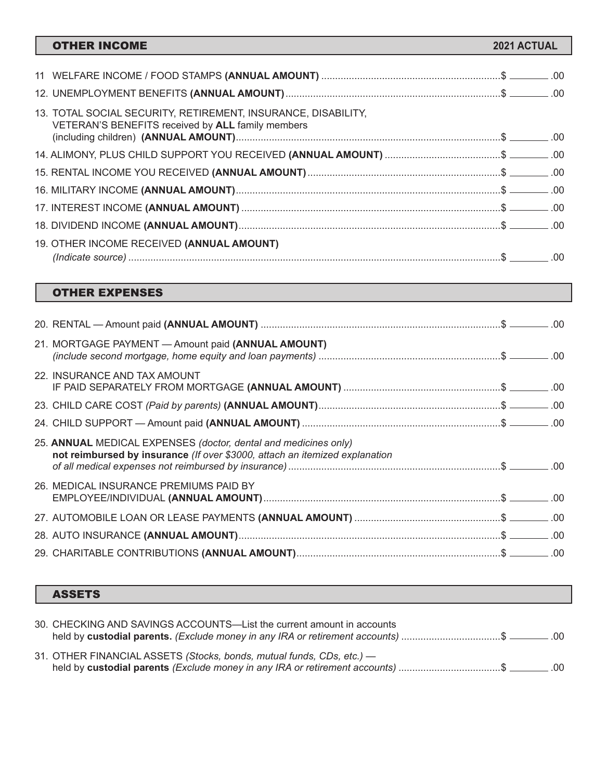| <b>OTHER INCOME</b>                                                                                                | 2021 ACTUAL |  |
|--------------------------------------------------------------------------------------------------------------------|-------------|--|
|                                                                                                                    |             |  |
|                                                                                                                    |             |  |
|                                                                                                                    |             |  |
| 13. TOTAL SOCIAL SECURITY, RETIREMENT, INSURANCE, DISABILITY,<br>VETERAN'S BENEFITS received by ALL family members |             |  |
|                                                                                                                    |             |  |
| 14. ALIMONY, PLUS CHILD SUPPORT YOU RECEIVED (ANNUAL AMOUNT) \$ _______.00                                         |             |  |
|                                                                                                                    |             |  |
|                                                                                                                    |             |  |
|                                                                                                                    |             |  |
|                                                                                                                    |             |  |
| 19. OTHER INCOME RECEIVED (ANNUAL AMOUNT)                                                                          |             |  |
|                                                                                                                    |             |  |
|                                                                                                                    |             |  |
| <b>OTHER EXPENSES</b>                                                                                              |             |  |

| 21. MORTGAGE PAYMENT - Amount paid (ANNUAL AMOUNT)                                                                                             |  |
|------------------------------------------------------------------------------------------------------------------------------------------------|--|
| 22. INSURANCE AND TAX AMOUNT                                                                                                                   |  |
|                                                                                                                                                |  |
|                                                                                                                                                |  |
| 25. ANNUAL MEDICAL EXPENSES (doctor, dental and medicines only)<br>not reimbursed by insurance (If over \$3000, attach an itemized explanation |  |
| 26. MEDICAL INSURANCE PREMIUMS PAID BY                                                                                                         |  |
|                                                                                                                                                |  |
|                                                                                                                                                |  |
|                                                                                                                                                |  |

### ASSETS

| 30. CHECKING AND SAVINGS ACCOUNTS—List the current amount in accounts<br>held by custodial parents. (Exclude money in any IRA or retirement accounts) \$ _______.00 |  |
|---------------------------------------------------------------------------------------------------------------------------------------------------------------------|--|
| 31. OTHER FINANCIAL ASSETS (Stocks, bonds, mutual funds, CDs, etc.) -<br>held by custodial parents (Exclude money in any IRA or retirement accounts) \$ _______.00  |  |